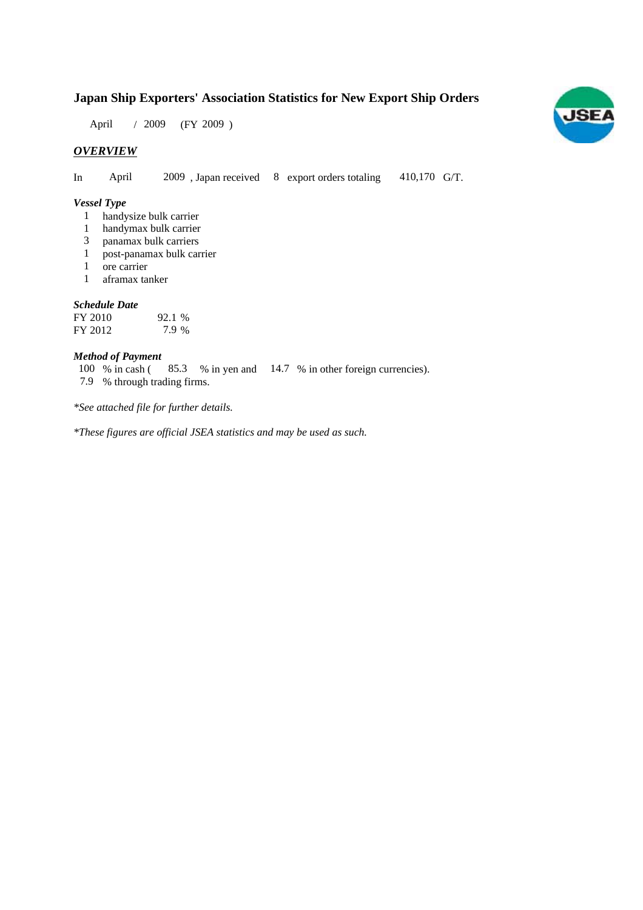## **Japan Ship Exporters' Association Statistics for New Export Ship Orders**

April / 2009 (FY 2009)

## *OVERVIEW*

In April  $2009$ , Japan received 8 export orders totaling 410,170 G/T.

#### *Vessel Type*

- handysize bulk carrier 1
- handymax bulk carrier 1
- panamax bulk carriers 3
- post-panamax bulk carrier 1
- ore carrier 1
- aframax tanker 1

#### *Schedule Date*

| FY 2010 | 92.1 % |
|---------|--------|
| FY 2012 | 7.9 %  |

## *Method of Payment*

% in cash (85.3 % in yen and 14.7 % in other foreign currencies). % through trading firms. 7.9  $100\%$  in cash (

*\*See attached file for further details.*

*\*These figures are official JSEA statistics and may be used as such.*

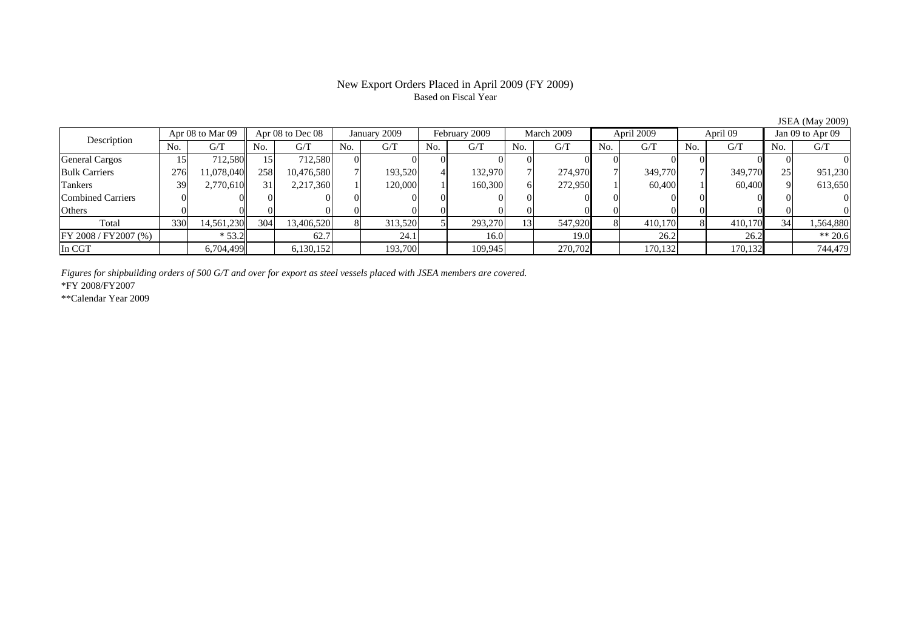#### New Export Orders Placed in April 2009 (FY 2009) Based on Fiscal Year

No. G/T No. G/T No. G/T No. G/T No. G/T No. G/T No. G/T No. G/TGeneral Cargos 15 712,580 15 712,580 0 0 0 0 0 0 0 0 0 0 0 0 Bulk Carriers | 276| 11,078,040|| 258| 10,476,580| 7| 193,520| 4| 132,970| 7| 274,970| 7| 349,770| 7| 349,770|| 25| 951,230 Tankers | 39| 2,770,610|| 31| 2,217,360| 1| 120,000| 1| 160,300| 6| 272,950| 1| 60,400| 1| 60,400|| 9| 613,650 Combined Carriers 0 0 0 0 0 0 0 0 0 0 0 0 0 0 0 0Others 0 0 0 0 0 0 0 0 0 0 0 0 0 0 0 0 $\mathbf{0}$ Total | 330| 14,561,230|| 304| 13,406,520| 8| 313,520| 5| 293,270| 13| 547,920| 8| 410,170| 8| 410,170|| 34| 1,564,880 FY 2008 / FY2007 (%) \* 53.2 62.7 24.1 16.0 19.0 26.2 26.2 \*\* 20.6 In CGT | | 6,704,499| | 6,130,152| | 193,700| | 109,945| | 270,702| | 170,132| | 170,132|| | 744,479 Description Apr 08 to Mar 09 | Apr 08 to Dec 08 | January 2009 | February 2009 | March 2009 | April 2009 | April 09 | Jan 09 to Apr 09

*Figures for shipbuilding orders of 500 G/T and over for export as steel vessels placed with JSEA members are covered.*

\*FY 2008/FY2007

\*\*Calendar Year 2009

JSEA (May 2009)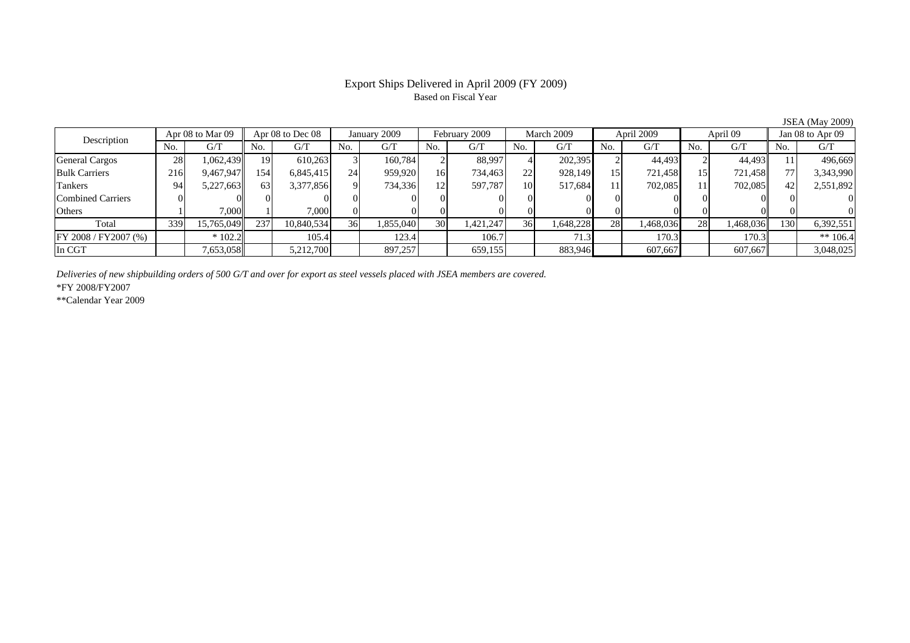### Export Ships Delivered in April 2009 (FY 2009) Based on Fiscal Year

JSEA (May 2009)

| Description              |     | Apr 08 to Mar 09 |     | Apr 08 to Dec 08 |                 | January 2009 |     | February 2009 |           | March 2009 |     | April 2009 |           | April 09  |     | Jan 08 to Apr 09 |  |
|--------------------------|-----|------------------|-----|------------------|-----------------|--------------|-----|---------------|-----------|------------|-----|------------|-----------|-----------|-----|------------------|--|
|                          | No. | G/T              | No. | G/T              | No.             | G/T          | No. | G/T           | No.       | G/T        | No. | G/T        | No.       | G/T       | No. | G/T              |  |
| <b>General Cargos</b>    | 28  | .062.439         | 19  | 610.263          |                 | 160.784      |     | 88,997        |           | 202,395    |     | 44.493     |           | 44.493    |     | 496,669          |  |
| <b>Bulk Carriers</b>     | 216 | 9,467,947        | 154 | 6,845,415        | 24              | 959,920      | 16  | 734,463       | 22        | 928,149    | 15  | 721.458    |           | 721,458   |     | 3,343,990        |  |
| Tankers                  | 94  | 5,227,663        | 63  | 3,377,856        | $\Omega$        | 734,336      | 12  | 597,787       | <b>10</b> | 517.684    | 11  | 702.085    |           | 702,085   |     | 2,551,892        |  |
| <b>Combined Carriers</b> |     |                  |     |                  |                 |              |     |               |           |            |     |            |           |           |     |                  |  |
| Others                   |     | 7.000            |     | 7,000            |                 |              |     | 01            |           |            |     |            |           |           |     |                  |  |
| Total                    | 339 | 15,765,049       | 237 | 10,840,534       | 36 <sup>I</sup> | 1,855,040    | 30  | 1,421,247     | 36        | 1,648,228  | 28  | 1,468,036  | <b>28</b> | 1,468,036 | 130 | 6,392,551        |  |
| FY 2008 / FY 2007 (%)    |     | $*102.2$         |     | 105.4            |                 | 123.4        |     | 106.7         |           | 71.3       |     | 170.3      |           | 170.3     |     | ** $106.4$       |  |
| In CGT                   |     | 7,653,058        |     | 5,212,700        |                 | 897,257      |     | 659,155       |           | 883,946    |     | 607,667    |           | 607,667   |     | 3,048,025        |  |

*Deliveries of new shipbuilding orders of 500 G/T and over for export as steel vessels placed with JSEA members are covered.*

\*FY 2008/FY2007

\*\*Calendar Year 2009